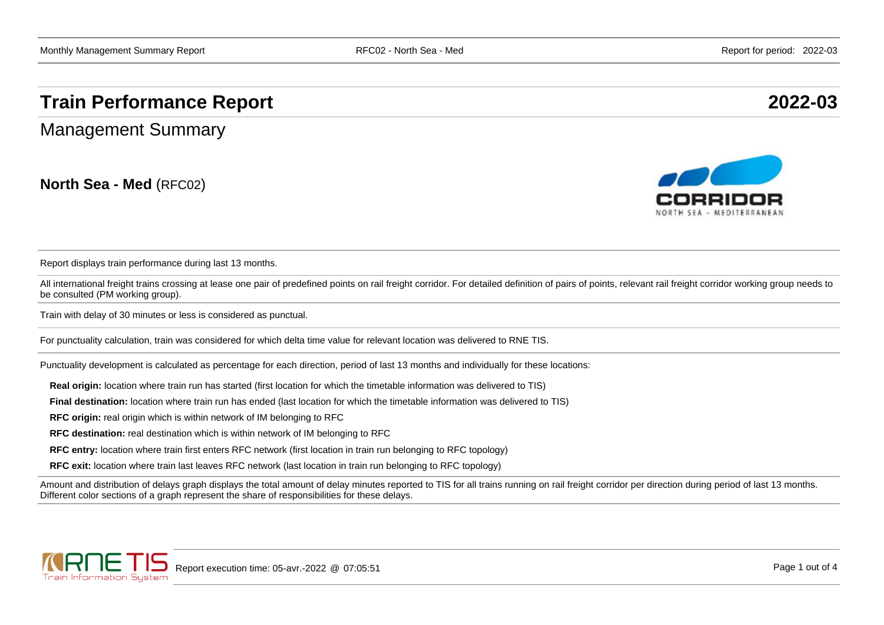## **Train Performance Report 2022-03**

Management Summary

**North Sea - Med** (RFC02)



Report displays train performance during last 13 months.

All international freight trains crossing at lease one pair of predefined points on rail freight corridor. For detailed definition of pairs of points, relevant rail freight corridor working group needs to be consulted (PM working group).

Train with delay of 30 minutes or less is considered as punctual.

For punctuality calculation, train was considered for which delta time value for relevant location was delivered to RNE TIS.

Punctuality development is calculated as percentage for each direction, period of last 13 months and individually for these locations:

**Real origin:** location where train run has started (first location for which the timetable information was delivered to TIS)

**Final destination:** location where train run has ended (last location for which the timetable information was delivered to TIS)

**RFC origin:** real origin which is within network of IM belonging to RFC

**RFC destination:** real destination which is within network of IM belonging to RFC

**RFC entry:** location where train first enters RFC network (first location in train run belonging to RFC topology)

**RFC exit:** location where train last leaves RFC network (last location in train run belonging to RFC topology)

Amount and distribution of delays graph displays the total amount of delay minutes reported to TIS for all trains running on rail freight corridor per direction during period of last 13 months. Different color sections of a graph represent the share of responsibilities for these delays.

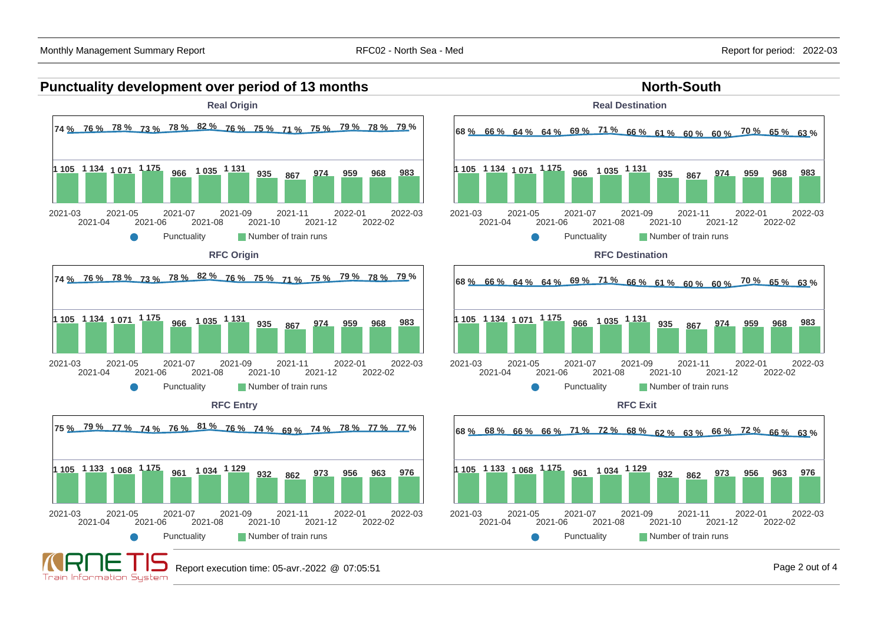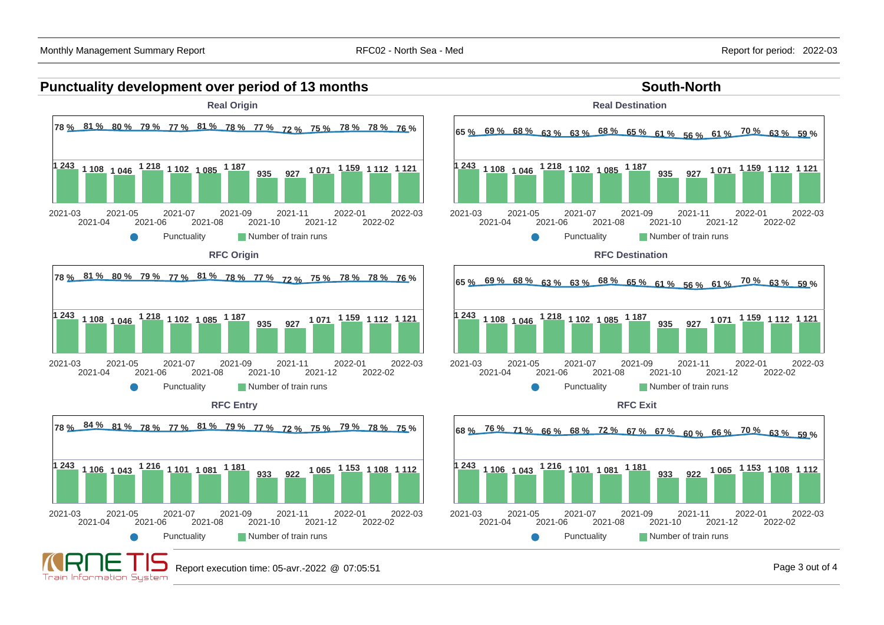## **Punctuality development over period of 13 months South-North South-North**